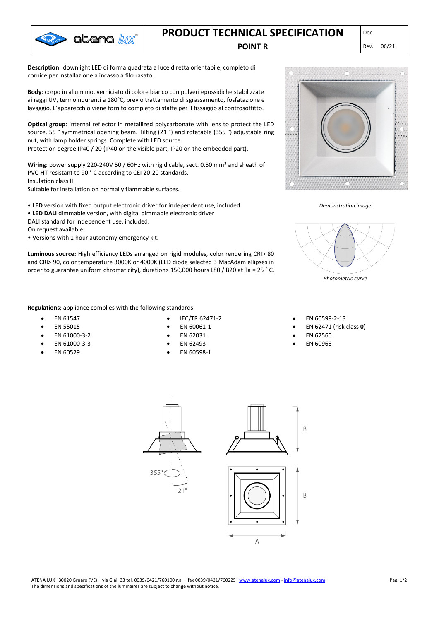

## **PRODUCT TECHNICAL SPECIFICATION POINT R** Rev. 06/21

**Description**: downlight LED di forma quadrata a luce diretta orientabile, completo di cornice per installazione a incasso a filo rasato.

**Body**: corpo in alluminio, verniciato di colore bianco con polveri epossidiche stabilizzate ai raggi UV, termoindurenti a 180°C, previo trattamento di sgrassamento, fosfatazione e lavaggio. L'apparecchio viene fornito completo di staffe per il fissaggio al controsoffitto.

**Optical group**: internal reflector in metallized polycarbonate with lens to protect the LED source. 55 ° symmetrical opening beam. Tilting (21 °) and rotatable (355 °) adjustable ring nut, with lamp holder springs. Complete with LED source.

Protection degree IP40 / 20 (IP40 on the visible part, IP20 on the embedded part).

**Wiring**: power supply 220-240V 50 / 60Hz with rigid cable, sect. 0.50 mm² and sheath of PVC-HT resistant to 90 ° C according to CEI 20-20 standards. Insulation class II.

Suitable for installation on normally flammable surfaces.

- **LED** version with fixed output electronic driver for independent use, included
- **LED DALI** dimmable version, with digital dimmable electronic driver
- DALI standard for independent use, included.

On request available:

• Versions with 1 hour autonomy emergency kit.

**Luminous source:** High efficiency LEDs arranged on rigid modules, color rendering CRI> 80 and CRI> 90, color temperature 3000K or 4000K (LED diode selected 3 MacAdam ellipses in order to guarantee uniform chromaticity), duration> 150,000 hours L80 / B20 at Ta = 25 ° C.

**Regulations**: appliance complies with the following standards:

- EN 61547
- EN 55015
- EN 61000-3-2
- EN 61000-3-3
- EN 60529
- IEC/TR 62471-2
- EN 60061-1
- EN 62031
- EN 62493
- EN 60598-1





*Photometric curve*

• EN 60598-2-13

- EN 62471 (risk class **0**)
- EN 62560
- EN 60968